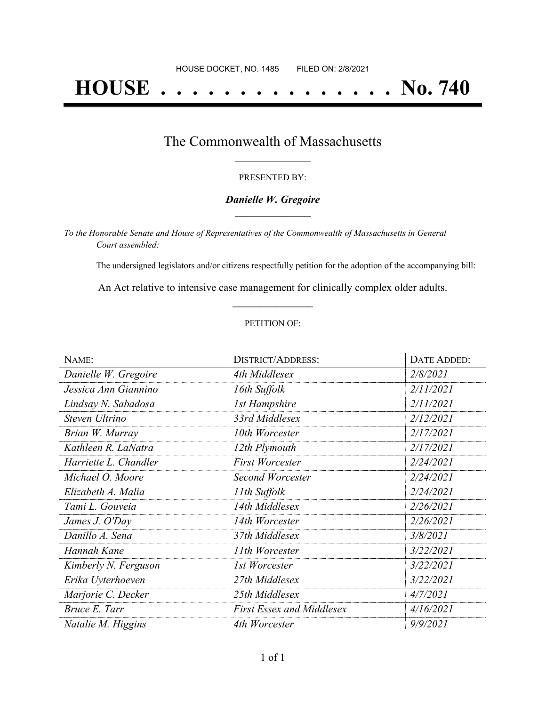# **HOUSE . . . . . . . . . . . . . . . No. 740**

## The Commonwealth of Massachusetts **\_\_\_\_\_\_\_\_\_\_\_\_\_\_\_\_\_**

#### PRESENTED BY:

#### *Danielle W. Gregoire* **\_\_\_\_\_\_\_\_\_\_\_\_\_\_\_\_\_**

*To the Honorable Senate and House of Representatives of the Commonwealth of Massachusetts in General Court assembled:*

The undersigned legislators and/or citizens respectfully petition for the adoption of the accompanying bill:

An Act relative to intensive case management for clinically complex older adults. **\_\_\_\_\_\_\_\_\_\_\_\_\_\_\_**

#### PETITION OF:

| NAME:                 | <b>DISTRICT/ADDRESS:</b>         | DATE ADDED: |
|-----------------------|----------------------------------|-------------|
| Danielle W. Gregoire  | 4th Middlesex                    | 2/8/2021    |
| Jessica Ann Giannino  | 16th Suffolk                     | 2/11/2021   |
| Lindsay N. Sabadosa   | <b>1st Hampshire</b>             | 2/11/2021   |
| Steven Ultrino        | 33rd Middlesex                   | 2/12/2021   |
| Brian W. Murray       | 10th Worcester                   | 2/17/2021   |
| Kathleen R. LaNatra   | 12th Plymouth                    | 2/17/2021   |
| Harriette L. Chandler | <b>First Worcester</b>           | 2/24/2021   |
| Michael O. Moore      | Second Worcester                 | 2/24/2021   |
| Elizabeth A. Malia    | 11th Suffolk                     | 2/24/2021   |
| Tami L. Gouveia       | 14th Middlesex                   | 2/26/2021   |
| James J. O'Day        | 14th Worcester                   | 2/26/2021   |
| Danillo A. Sena       | 37th Middlesex                   | 3/8/2021    |
| Hannah Kane           | 11th Worcester                   | 3/22/2021   |
| Kimberly N. Ferguson  | 1st Worcester                    | 3/22/2021   |
| Erika Uyterhoeven     | 27th Middlesex                   | 3/22/2021   |
| Marjorie C. Decker    | 25th Middlesex                   | 4/7/2021    |
| Bruce E. Tarr         | <b>First Essex and Middlesex</b> | 4/16/2021   |
| Natalie M. Higgins    | 4th Worcester                    | 9/9/2021    |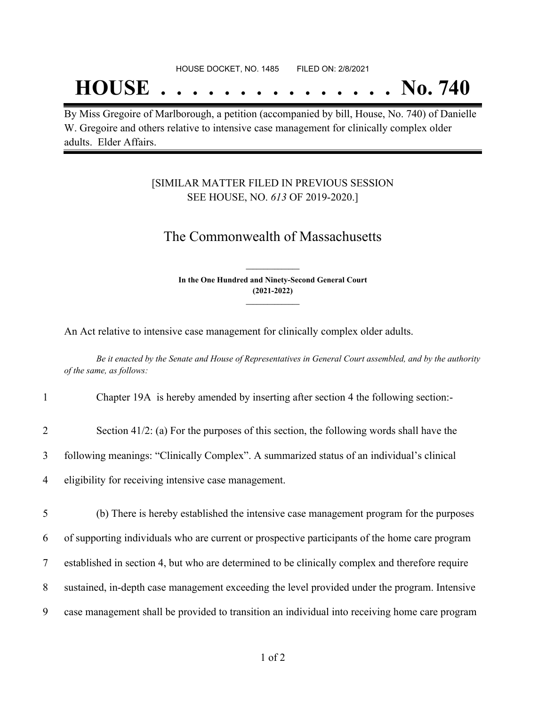## **HOUSE . . . . . . . . . . . . . . . No. 740**

By Miss Gregoire of Marlborough, a petition (accompanied by bill, House, No. 740) of Danielle W. Gregoire and others relative to intensive case management for clinically complex older adults. Elder Affairs.

### [SIMILAR MATTER FILED IN PREVIOUS SESSION SEE HOUSE, NO. *613* OF 2019-2020.]

## The Commonwealth of Massachusetts

**In the One Hundred and Ninety-Second General Court (2021-2022) \_\_\_\_\_\_\_\_\_\_\_\_\_\_\_**

**\_\_\_\_\_\_\_\_\_\_\_\_\_\_\_**

An Act relative to intensive case management for clinically complex older adults.

Be it enacted by the Senate and House of Representatives in General Court assembled, and by the authority *of the same, as follows:*

| Chapter 19A is hereby amended by inserting after section 4 the following section:- |
|------------------------------------------------------------------------------------|
|                                                                                    |
|                                                                                    |

- 2 Section 41/2: (a) For the purposes of this section, the following words shall have the
- 3 following meanings: "Clinically Complex". A summarized status of an individual's clinical
- 4 eligibility for receiving intensive case management.
- 5 (b) There is hereby established the intensive case management program for the purposes 6 of supporting individuals who are current or prospective participants of the home care program 7 established in section 4, but who are determined to be clinically complex and therefore require 8 sustained, in-depth case management exceeding the level provided under the program. Intensive 9 case management shall be provided to transition an individual into receiving home care program